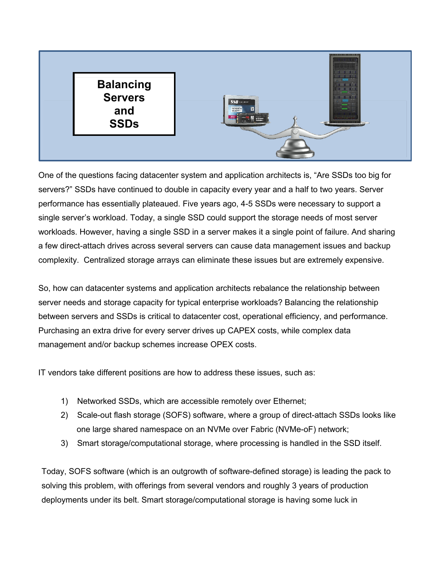

One of the questions facing datacenter system and application architects is, "Are SSDs too big for servers?" SSDs have continued to double in capacity every year and a half to two years. Server performance has essentially plateaued. Five years ago, 4-5 SSDs were necessary to support a single server's workload. Today, a single SSD could support the storage needs of most server workloads. However, having a single SSD in a server makes it a single point of failure. And sharing a few direct-attach drives across several servers can cause data management issues and backup complexity. Centralized storage arrays can eliminate these issues but are extremely expensive.

So, how can datacenter systems and application architects rebalance the relationship between server needs and storage capacity for typical enterprise workloads? Balancing the relationship between servers and SSDs is critical to datacenter cost, operational efficiency, and performance. Purchasing an extra drive for every server drives up CAPEX costs, while complex data management and/or backup schemes increase OPEX costs.

IT vendors take different positions are how to address these issues, such as:

- 1) Networked SSDs, which are accessible remotely over Ethernet;
- 2) Scale-out flash storage (SOFS) software, where a group of direct-attach SSDs looks like one large shared namespace on an NVMe over Fabric (NVMe-oF) network;
- 3) Smart storage/computational storage, where processing is handled in the SSD itself.

Today, SOFS software (which is an outgrowth of software-defined storage) is leading the pack to solving this problem, with offerings from several vendors and roughly 3 years of production deployments under its belt. Smart storage/computational storage is having some luck in